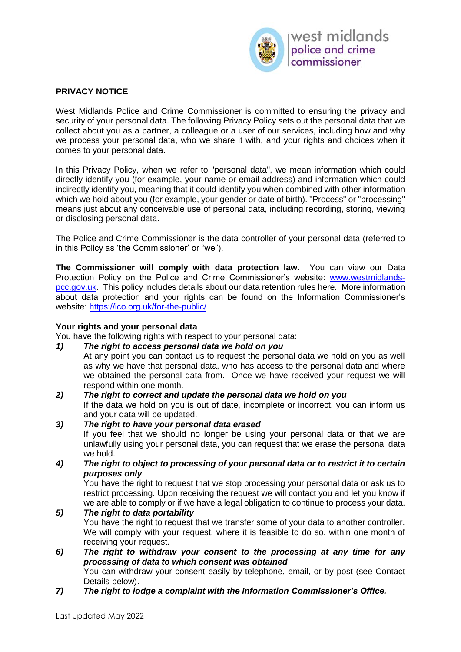

## **PRIVACY NOTICE**

West Midlands Police and Crime Commissioner is committed to ensuring the privacy and security of your personal data. The following Privacy Policy sets out the personal data that we collect about you as a partner, a colleague or a user of our services, including how and why we process your personal data, who we share it with, and your rights and choices when it comes to your personal data.

In this Privacy Policy, when we refer to "personal data", we mean information which could directly identify you (for example, your name or email address) and information which could indirectly identify you, meaning that it could identify you when combined with other information which we hold about you (for example, your gender or date of birth). "Process" or "processing" means just about any conceivable use of personal data, including recording, storing, viewing or disclosing personal data.

The Police and Crime Commissioner is the data controller of your personal data (referred to in this Policy as 'the Commissioner' or "we").

**The Commissioner will comply with data protection law.** You can view our Data Protection Policy on the Police and Crime Commissioner's website: [www.westmidlands](http://www.westmidlands-pcc.gov.uk/)[pcc.gov.uk.](http://www.westmidlands-pcc.gov.uk/) This policy includes details about our data retention rules here. More information about data protection and your rights can be found on the Information Commissioner's website:<https://ico.org.uk/for-the-public/>

### **Your rights and your personal data**

You have the following rights with respect to your personal data:

### *1) The right to access personal data we hold on you*

At any point you can contact us to request the personal data we hold on you as well as why we have that personal data, who has access to the personal data and where we obtained the personal data from. Once we have received your request we will respond within one month.

- *2) The right to correct and update the personal data we hold on you* If the data we hold on you is out of date, incomplete or incorrect, you can inform us and your data will be updated.
- *3) The right to have your personal data erased*

If you feel that we should no longer be using your personal data or that we are unlawfully using your personal data, you can request that we erase the personal data we hold.

*4) The right to object to processing of your personal data or to restrict it to certain purposes only*

You have the right to request that we stop processing your personal data or ask us to restrict processing. Upon receiving the request we will contact you and let you know if we are able to comply or if we have a legal obligation to continue to process your data.

## *5) The right to data portability*

You have the right to request that we transfer some of your data to another controller. We will comply with your request, where it is feasible to do so, within one month of receiving your request.

## *6) The right to withdraw your consent to the processing at any time for any processing of data to which consent was obtained*

You can withdraw your consent easily by telephone, email, or by post (see Contact Details below).

*7) The right to lodge a complaint with the Information Commissioner's Office.*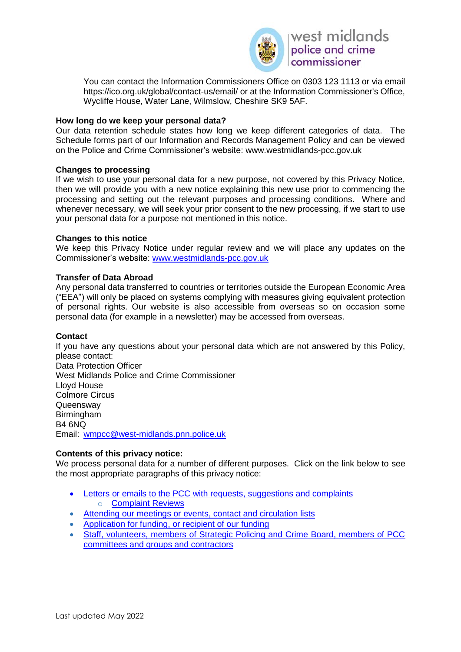

You can contact the Information Commissioners Office on 0303 123 1113 or via email https://ico.org.uk/global/contact-us/email/ or at the Information Commissioner's Office, Wycliffe House, Water Lane, Wilmslow, Cheshire SK9 5AF.

### **How long do we keep your personal data?**

Our data retention schedule states how long we keep different categories of data. The Schedule forms part of our Information and Records Management Policy and can be viewed on the Police and Crime Commissioner's website: www.westmidlands-pcc.gov.uk

### **Changes to processing**

If we wish to use your personal data for a new purpose, not covered by this Privacy Notice, then we will provide you with a new notice explaining this new use prior to commencing the processing and setting out the relevant purposes and processing conditions. Where and whenever necessary, we will seek your prior consent to the new processing, if we start to use your personal data for a purpose not mentioned in this notice.

### **Changes to this notice**

We keep this Privacy Notice under regular review and we will place any updates on the Commissioner's website: [www.westmidlands-pcc.gov.uk](http://www.westmidlands-pcc.gov.uk/)

### **Transfer of Data Abroad**

Any personal data transferred to countries or territories outside the European Economic Area ("EEA") will only be placed on systems complying with measures giving equivalent protection of personal rights. Our website is also accessible from overseas so on occasion some personal data (for example in a newsletter) may be accessed from overseas.

### **Contact**

If you have any questions about your personal data which are not answered by this Policy, please contact: Data Protection Officer West Midlands Police and Crime Commissioner Lloyd House Colmore Circus **Queensway** Birmingham B4 6NQ Email: [wmpcc@west-midlands.pnn.police.uk](mailto:wmpcc@west-midlands.pnn.police.uk)

### **Contents of this privacy notice:**

We process personal data for a number of different purposes. Click on the link below to see the most appropriate paragraphs of this privacy notice:

- [Letters or emails to the PCC with requests, suggestions and complaints](#page-3-0) o [Complaint Reviews](#page-3-0)
- [Attending our meetings or events, contact and circulation lists](#page-4-0)
- [Application for funding, or recipient of our funding](#page-3-0)
- Staff, volunteers, members of Strategic Policing and Crime Board, members of PCC [committees and groups and contractors](#page-7-0)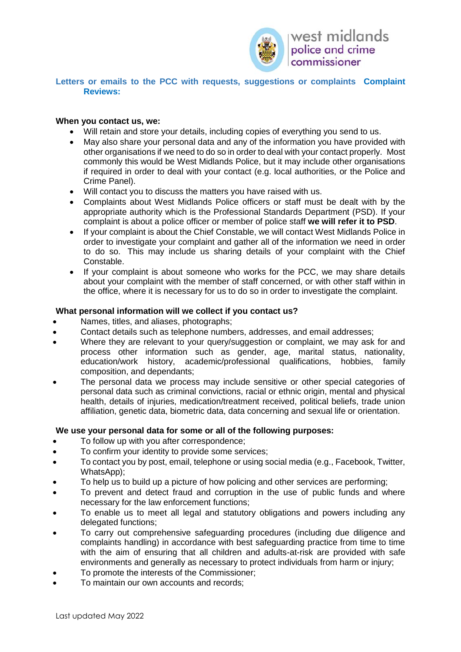

### **Letters or emails to the PCC with requests, suggestions or complaints [Complaint](#page-3-0)  [Reviews:](#page-3-0)**

### **When you contact us, we:**

- Will retain and store your details, including copies of everything you send to us.
- May also share your personal data and any of the information you have provided with other organisations if we need to do so in order to deal with your contact properly. Most commonly this would be West Midlands Police, but it may include other organisations if required in order to deal with your contact (e.g. local authorities, or the Police and Crime Panel).
- Will contact you to discuss the matters you have raised with us.
- Complaints about West Midlands Police officers or staff must be dealt with by the appropriate authority which is the Professional Standards Department (PSD). If your complaint is about a police officer or member of police staff **we will refer it to PSD**.
- If your complaint is about the Chief Constable, we will contact West Midlands Police in order to investigate your complaint and gather all of the information we need in order to do so. This may include us sharing details of your complaint with the Chief Constable.
- If your complaint is about someone who works for the PCC, we may share details about your complaint with the member of staff concerned, or with other staff within in the office, where it is necessary for us to do so in order to investigate the complaint.

### **What personal information will we collect if you contact us?**

- Names, titles, and aliases, photographs:
- Contact details such as telephone numbers, addresses, and email addresses;
- Where they are relevant to your query/suggestion or complaint, we may ask for and process other information such as gender, age, marital status, nationality, education/work history, academic/professional qualifications, hobbies, family composition, and dependants;
- The personal data we process may include sensitive or other special categories of personal data such as criminal convictions, racial or ethnic origin, mental and physical health, details of injuries, medication/treatment received, political beliefs, trade union affiliation, genetic data, biometric data, data concerning and sexual life or orientation.

### **We use your personal data for some or all of the following purposes:**

- To follow up with you after correspondence;
- To confirm your identity to provide some services;
- To contact you by post, email, telephone or using social media (e.g., Facebook, Twitter, WhatsApp);
- To help us to build up a picture of how policing and other services are performing;
- To prevent and detect fraud and corruption in the use of public funds and where necessary for the law enforcement functions;
- To enable us to meet all legal and statutory obligations and powers including any delegated functions;
- To carry out comprehensive safeguarding procedures (including due diligence and complaints handling) in accordance with best safeguarding practice from time to time with the aim of ensuring that all children and adults-at-risk are provided with safe environments and generally as necessary to protect individuals from harm or injury;
- To promote the interests of the Commissioner;
- To maintain our own accounts and records;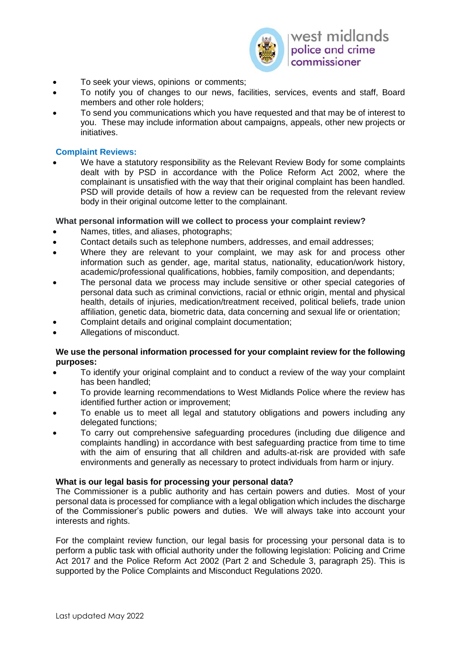

- To seek your views, opinions or comments;
- To notify you of changes to our news, facilities, services, events and staff, Board members and other role holders;
- To send you communications which you have requested and that may be of interest to you. These may include information about campaigns, appeals, other new projects or initiatives.

### <span id="page-3-0"></span>**Complaint Reviews:**

We have a statutory responsibility as the Relevant Review Body for some complaints dealt with by PSD in accordance with the Police Reform Act 2002, where the complainant is unsatisfied with the way that their original complaint has been handled. PSD will provide details of how a review can be requested from the relevant review body in their original outcome letter to the complainant.

### **What personal information will we collect to process your complaint review?**

- Names, titles, and aliases, photographs;
- Contact details such as telephone numbers, addresses, and email addresses;
- Where they are relevant to your complaint, we may ask for and process other information such as gender, age, marital status, nationality, education/work history, academic/professional qualifications, hobbies, family composition, and dependants;
- The personal data we process may include sensitive or other special categories of personal data such as criminal convictions, racial or ethnic origin, mental and physical health, details of injuries, medication/treatment received, political beliefs, trade union affiliation, genetic data, biometric data, data concerning and sexual life or orientation;
- Complaint details and original complaint documentation;
- Allegations of misconduct.

#### **We use the personal information processed for your complaint review for the following purposes:**

- To identify your original complaint and to conduct a review of the way your complaint has been handled;
- To provide learning recommendations to West Midlands Police where the review has identified further action or improvement;
- To enable us to meet all legal and statutory obligations and powers including any delegated functions;
- To carry out comprehensive safeguarding procedures (including due diligence and complaints handling) in accordance with best safeguarding practice from time to time with the aim of ensuring that all children and adults-at-risk are provided with safe environments and generally as necessary to protect individuals from harm or injury.

### **What is our legal basis for processing your personal data?**

The Commissioner is a public authority and has certain powers and duties. Most of your personal data is processed for compliance with a legal obligation which includes the discharge of the Commissioner's public powers and duties. We will always take into account your interests and rights.

For the complaint review function, our legal basis for processing your personal data is to perform a public task with official authority under the following legislation: Policing and Crime Act 2017 and the Police Reform Act 2002 (Part 2 and Schedule 3, paragraph 25). This is supported by the Police Complaints and Misconduct Regulations 2020.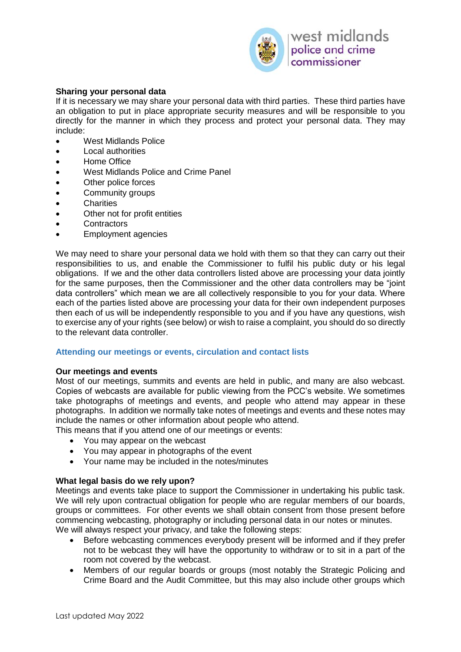

## **Sharing your personal data**

If it is necessary we may share your personal data with third parties. These third parties have an obligation to put in place appropriate security measures and will be responsible to you directly for the manner in which they process and protect your personal data. They may include:

- West Midlands Police
- **Local authorities**
- Home Office
- West Midlands Police and Crime Panel
- Other police forces
- Community groups
- Charities
- Other not for profit entities
- Contractors
- Employment agencies

We may need to share your personal data we hold with them so that they can carry out their responsibilities to us, and enable the Commissioner to fulfil his public duty or his legal obligations. If we and the other data controllers listed above are processing your data jointly for the same purposes, then the Commissioner and the other data controllers may be "joint data controllers" which mean we are all collectively responsible to you for your data. Where each of the parties listed above are processing your data for their own independent purposes then each of us will be independently responsible to you and if you have any questions, wish to exercise any of your rights (see below) or wish to raise a complaint, you should do so directly to the relevant data controller.

#### <span id="page-4-0"></span>**Attending our meetings or events, circulation and contact lists**

#### **Our meetings and events**

Most of our meetings, summits and events are held in public, and many are also webcast. Copies of webcasts are available for public viewing from the PCC's website. We sometimes take photographs of meetings and events, and people who attend may appear in these photographs. In addition we normally take notes of meetings and events and these notes may include the names or other information about people who attend.

This means that if you attend one of our meetings or events:

- You may appear on the webcast
- You may appear in photographs of the event
- Your name may be included in the notes/minutes

#### **What legal basis do we rely upon?**

Meetings and events take place to support the Commissioner in undertaking his public task. We will rely upon contractual obligation for people who are regular members of our boards, groups or committees. For other events we shall obtain consent from those present before commencing webcasting, photography or including personal data in our notes or minutes. We will always respect your privacy, and take the following steps:

- Before webcasting commences everybody present will be informed and if they prefer not to be webcast they will have the opportunity to withdraw or to sit in a part of the room not covered by the webcast.
- Members of our regular boards or groups (most notably the Strategic Policing and Crime Board and the Audit Committee, but this may also include other groups which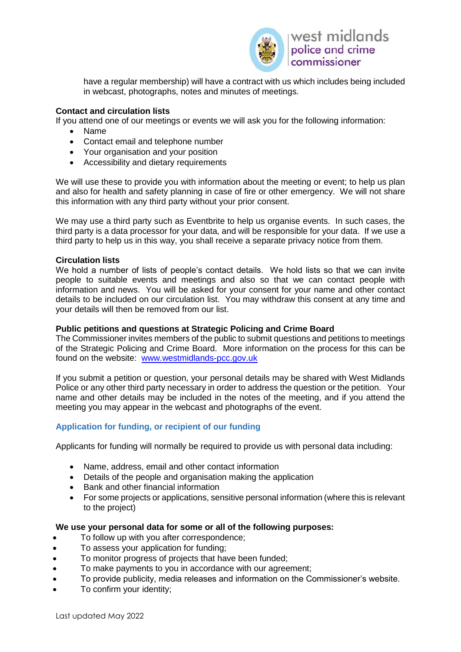

have a regular membership) will have a contract with us which includes being included in webcast, photographs, notes and minutes of meetings.

## **Contact and circulation lists**

If you attend one of our meetings or events we will ask you for the following information:

- Name
- Contact email and telephone number
- Your organisation and your position
- Accessibility and dietary requirements

We will use these to provide you with information about the meeting or event; to help us plan and also for health and safety planning in case of fire or other emergency. We will not share this information with any third party without your prior consent.

We may use a third party such as Eventbrite to help us organise events. In such cases, the third party is a data processor for your data, and will be responsible for your data. If we use a third party to help us in this way, you shall receive a separate privacy notice from them.

### **Circulation lists**

We hold a number of lists of people's contact details. We hold lists so that we can invite people to suitable events and meetings and also so that we can contact people with information and news. You will be asked for your consent for your name and other contact details to be included on our circulation list. You may withdraw this consent at any time and your details will then be removed from our list.

### **Public petitions and questions at Strategic Policing and Crime Board**

The Commissioner invites members of the public to submit questions and petitions to meetings of the Strategic Policing and Crime Board. More information on the process for this can be found on the website: [www.westmidlands-pcc.gov.uk](http://www.westmidlands-pcc.gov.uk/)

If you submit a petition or question, your personal details may be shared with West Midlands Police or any other third party necessary in order to address the question or the petition. Your name and other details may be included in the notes of the meeting, and if you attend the meeting you may appear in the webcast and photographs of the event.

## **Application for funding, or recipient of our funding**

Applicants for funding will normally be required to provide us with personal data including:

- Name, address, email and other contact information
- Details of the people and organisation making the application
- Bank and other financial information
- For some projects or applications, sensitive personal information (where this is relevant to the project)

### **We use your personal data for some or all of the following purposes:**

- To follow up with you after correspondence;
- To assess your application for funding;
- To monitor progress of projects that have been funded;
- To make payments to you in accordance with our agreement;
- To provide publicity, media releases and information on the Commissioner's website.
- To confirm your identity;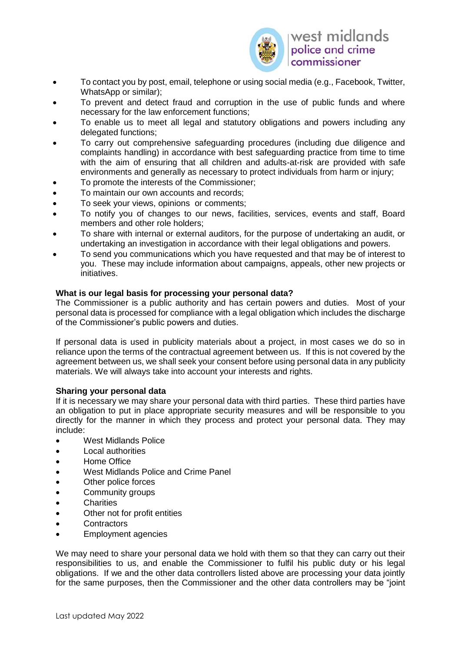

- To contact you by post, email, telephone or using social media (e.g., Facebook, Twitter, WhatsApp or similar);
- To prevent and detect fraud and corruption in the use of public funds and where necessary for the law enforcement functions;
- To enable us to meet all legal and statutory obligations and powers including any delegated functions;
- To carry out comprehensive safeguarding procedures (including due diligence and complaints handling) in accordance with best safeguarding practice from time to time with the aim of ensuring that all children and adults-at-risk are provided with safe environments and generally as necessary to protect individuals from harm or injury;
- To promote the interests of the Commissioner;
- To maintain our own accounts and records;
- To seek your views, opinions or comments;
- To notify you of changes to our news, facilities, services, events and staff, Board members and other role holders;
- To share with internal or external auditors, for the purpose of undertaking an audit, or undertaking an investigation in accordance with their legal obligations and powers.
- To send you communications which you have requested and that may be of interest to you. These may include information about campaigns, appeals, other new projects or initiatives.

### **What is our legal basis for processing your personal data?**

The Commissioner is a public authority and has certain powers and duties. Most of your personal data is processed for compliance with a legal obligation which includes the discharge of the Commissioner's public powers and duties.

If personal data is used in publicity materials about a project, in most cases we do so in reliance upon the terms of the contractual agreement between us. If this is not covered by the agreement between us, we shall seek your consent before using personal data in any publicity materials. We will always take into account your interests and rights.

### **Sharing your personal data**

If it is necessary we may share your personal data with third parties. These third parties have an obligation to put in place appropriate security measures and will be responsible to you directly for the manner in which they process and protect your personal data. They may include:

- West Midlands Police
- Local authorities
- Home Office
- West Midlands Police and Crime Panel
- Other police forces
- Community groups
- Charities
- Other not for profit entities
- **Contractors**
- Employment agencies

We may need to share your personal data we hold with them so that they can carry out their responsibilities to us, and enable the Commissioner to fulfil his public duty or his legal obligations. If we and the other data controllers listed above are processing your data jointly for the same purposes, then the Commissioner and the other data controllers may be "joint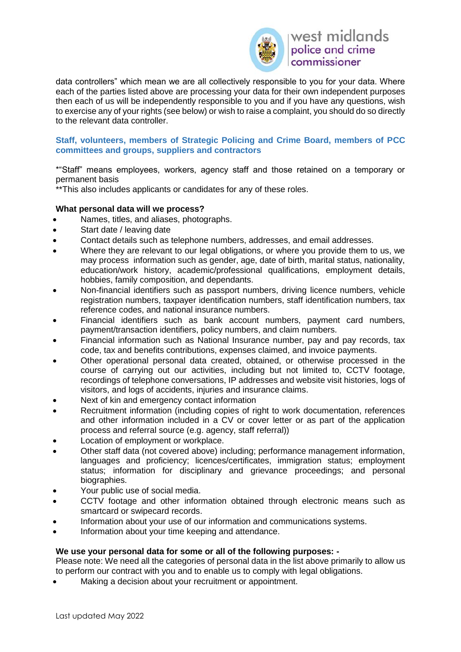

data controllers" which mean we are all collectively responsible to you for your data. Where each of the parties listed above are processing your data for their own independent purposes then each of us will be independently responsible to you and if you have any questions, wish to exercise any of your rights (see below) or wish to raise a complaint, you should do so directly to the relevant data controller.

### <span id="page-7-0"></span>**Staff, volunteers, members of Strategic Policing and Crime Board, members of PCC committees and groups, suppliers and contractors**

\*"Staff" means employees, workers, agency staff and those retained on a temporary or permanent basis

\*\*This also includes applicants or candidates for any of these roles.

## **What personal data will we process?**

- Names, titles, and aliases, photographs.
- Start date / leaving date
- Contact details such as telephone numbers, addresses, and email addresses.
- Where they are relevant to our legal obligations, or where you provide them to us, we may process information such as gender, age, date of birth, marital status, nationality, education/work history, academic/professional qualifications, employment details, hobbies, family composition, and dependants.
- Non-financial identifiers such as passport numbers, driving licence numbers, vehicle registration numbers, taxpayer identification numbers, staff identification numbers, tax reference codes, and national insurance numbers.
- Financial identifiers such as bank account numbers, payment card numbers, payment/transaction identifiers, policy numbers, and claim numbers.
- Financial information such as National Insurance number, pay and pay records, tax code, tax and benefits contributions, expenses claimed, and invoice payments.
- Other operational personal data created, obtained, or otherwise processed in the course of carrying out our activities, including but not limited to, CCTV footage, recordings of telephone conversations, IP addresses and website visit histories, logs of visitors, and logs of accidents, injuries and insurance claims.
- Next of kin and emergency contact information
- Recruitment information (including copies of right to work documentation, references and other information included in a CV or cover letter or as part of the application process and referral source (e.g. agency, staff referral))
- Location of employment or workplace.
- Other staff data (not covered above) including; performance management information, languages and proficiency; licences/certificates, immigration status; employment status; information for disciplinary and grievance proceedings; and personal biographies.
- Your public use of social media.
- CCTV footage and other information obtained through electronic means such as smartcard or swipecard records.
- Information about your use of our information and communications systems.
- Information about your time keeping and attendance.

### **We use your personal data for some or all of the following purposes: -**

Please note: We need all the categories of personal data in the list above primarily to allow us to perform our contract with you and to enable us to comply with legal obligations.

Making a decision about your recruitment or appointment.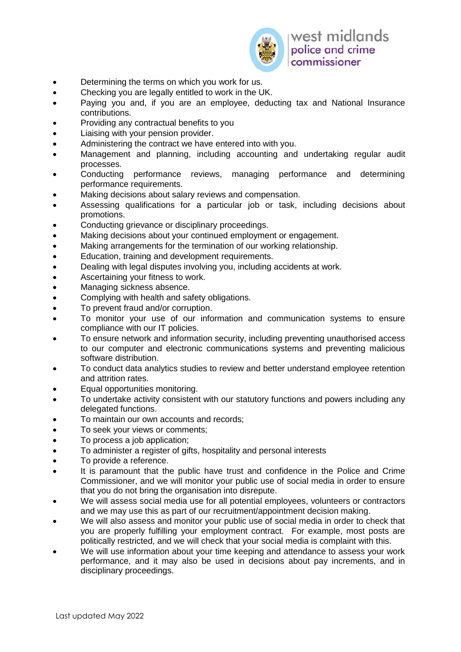

- Determining the terms on which you work for us.
- Checking you are legally entitled to work in the UK.
- Paying you and, if you are an employee, deducting tax and National Insurance contributions.
- Providing any contractual benefits to you
- Liaising with your pension provider.
- Administering the contract we have entered into with you.
- Management and planning, including accounting and undertaking regular audit processes.
- Conducting performance reviews, managing performance and determining performance requirements.
- Making decisions about salary reviews and compensation.
- Assessing qualifications for a particular job or task, including decisions about promotions.
- Conducting grievance or disciplinary proceedings.
- Making decisions about your continued employment or engagement.
- Making arrangements for the termination of our working relationship.
- Education, training and development requirements.
- Dealing with legal disputes involving you, including accidents at work.
- Ascertaining your fitness to work.
- Managing sickness absence.
- Complying with health and safety obligations.
- To prevent fraud and/or corruption.
- To monitor your use of our information and communication systems to ensure compliance with our IT policies.
- To ensure network and information security, including preventing unauthorised access to our computer and electronic communications systems and preventing malicious software distribution.
- To conduct data analytics studies to review and better understand employee retention and attrition rates.
- Equal opportunities monitoring.
- To undertake activity consistent with our statutory functions and powers including any delegated functions.
- To maintain our own accounts and records;
- To seek your views or comments;
- To process a job application;
- To administer a register of gifts, hospitality and personal interests
- To provide a reference.
- It is paramount that the public have trust and confidence in the Police and Crime Commissioner, and we will monitor your public use of social media in order to ensure that you do not bring the organisation into disrepute.
- We will assess social media use for all potential employees, volunteers or contractors and we may use this as part of our recruitment/appointment decision making.
- We will also assess and monitor your public use of social media in order to check that you are properly fulfilling your employment contract. For example, most posts are politically restricted, and we will check that your social media is complaint with this.
- We will use information about your time keeping and attendance to assess your work performance, and it may also be used in decisions about pay increments, and in disciplinary proceedings.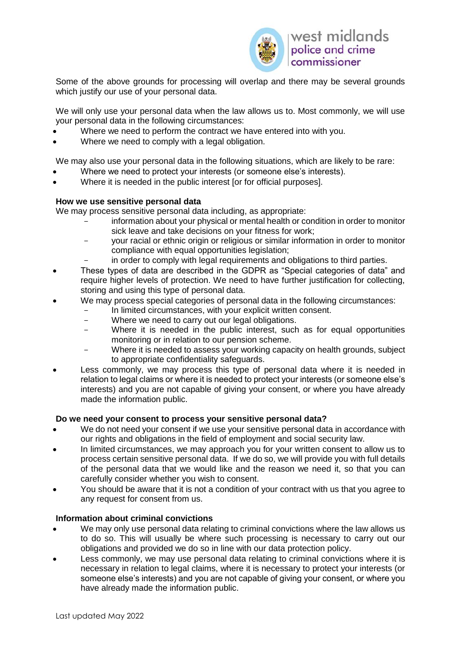

Some of the above grounds for processing will overlap and there may be several grounds which justify our use of your personal data.

We will only use your personal data when the law allows us to. Most commonly, we will use your personal data in the following circumstances:

- Where we need to perform the contract we have entered into with you.
- Where we need to comply with a legal obligation.

We may also use your personal data in the following situations, which are likely to be rare:

- Where we need to protect your interests (or someone else's interests).
- Where it is needed in the public interest for for official purposes.

### **How we use sensitive personal data**

We may process sensitive personal data including, as appropriate:

- information about your physical or mental health or condition in order to monitor sick leave and take decisions on your fitness for work;
- your racial or ethnic origin or religious or similar information in order to monitor compliance with equal opportunities legislation;
- in order to comply with legal requirements and obligations to third parties.
- These types of data are described in the GDPR as "Special categories of data" and require higher levels of protection. We need to have further justification for collecting, storing and using this type of personal data.
- We may process special categories of personal data in the following circumstances:
	- In limited circumstances, with your explicit written consent.
	- Where we need to carry out our legal obligations.
	- Where it is needed in the public interest, such as for equal opportunities monitoring or in relation to our pension scheme.
	- Where it is needed to assess your working capacity on health grounds, subject to appropriate confidentiality safeguards.
- Less commonly, we may process this type of personal data where it is needed in relation to legal claims or where it is needed to protect your interests (or someone else's interests) and you are not capable of giving your consent, or where you have already made the information public.

### **Do we need your consent to process your sensitive personal data?**

- We do not need your consent if we use your sensitive personal data in accordance with our rights and obligations in the field of employment and social security law.
- In limited circumstances, we may approach you for your written consent to allow us to process certain sensitive personal data. If we do so, we will provide you with full details of the personal data that we would like and the reason we need it, so that you can carefully consider whether you wish to consent.
- You should be aware that it is not a condition of your contract with us that you agree to any request for consent from us.

## **Information about criminal convictions**

- We may only use personal data relating to criminal convictions where the law allows us to do so. This will usually be where such processing is necessary to carry out our obligations and provided we do so in line with our data protection policy.
- Less commonly, we may use personal data relating to criminal convictions where it is necessary in relation to legal claims, where it is necessary to protect your interests (or someone else's interests) and you are not capable of giving your consent, or where you have already made the information public.